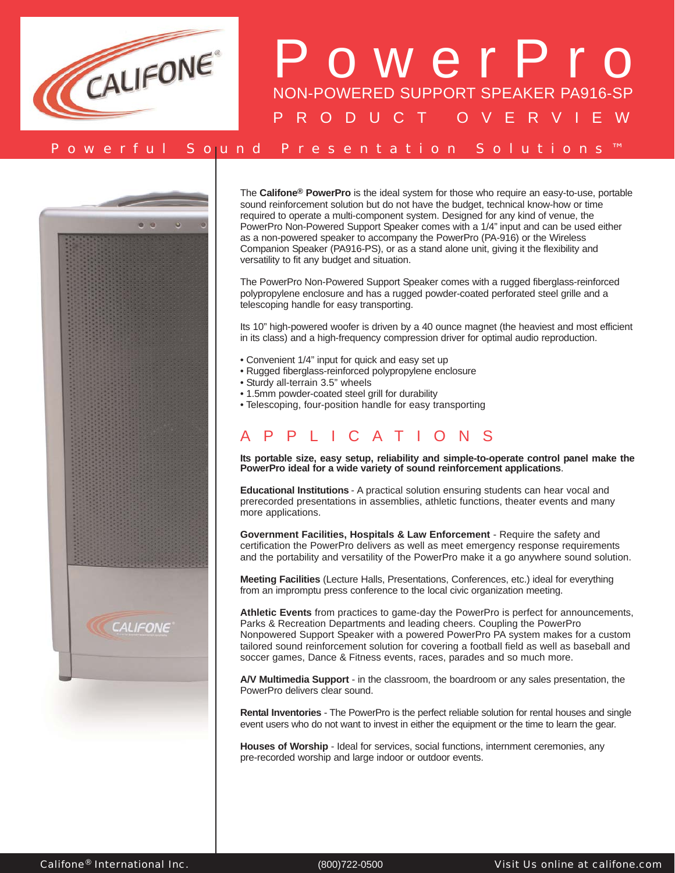



The **Califone® PowerPro** is the ideal system for those who require an easy-to-use, portable sound reinforcement solution but do not have the budget, technical know-how or time required to operate a multi-component system. Designed for any kind of venue, the PowerPro Non-Powered Support Speaker comes with a 1/4" input and can be used either as a non-powered speaker to accompany the PowerPro (PA-916) or the Wireless Companion Speaker (PA916-PS), or as a stand alone unit, giving it the flexibility and versatility to fit any budget and situation.

The PowerPro Non-Powered Support Speaker comes with a rugged fiberglass-reinforced polypropylene enclosure and has a rugged powder-coated perforated steel grille and a telescoping handle for easy transporting.

Its 10" high-powered woofer is driven by a 40 ounce magnet (the heaviest and most efficient in its class) and a high-frequency compression driver for optimal audio reproduction.

- Convenient 1/4" input for quick and easy set up
- Rugged fiberglass-reinforced polypropylene enclosure
- Sturdy all-terrain 3.5" wheels
- 1.5mm powder-coated steel grill for durability
- Telescoping, four-position handle for easy transporting

## PPLICATIONS

**Its portable size, easy setup, reliability and simple-to-operate control panel make the PowerPro ideal for a wide variety of sound reinforcement applications**.

**Educational Institutions** - A practical solution ensuring students can hear vocal and prerecorded presentations in assemblies, athletic functions, theater events and many more applications.

**Government Facilities, Hospitals & Law Enforcement** - Require the safety and certification the PowerPro delivers as well as meet emergency response requirements and the portability and versatility of the PowerPro make it a go anywhere sound solution.

**Meeting Facilities** (Lecture Halls, Presentations, Conferences, etc.) ideal for everything from an impromptu press conference to the local civic organization meeting.

**Athletic Events** from practices to game-day the PowerPro is perfect for announcements, Parks & Recreation Departments and leading cheers. Coupling the PowerPro Nonpowered Support Speaker with a powered PowerPro PA system makes for a custom tailored sound reinforcement solution for covering a football field as well as baseball and soccer games, Dance & Fitness events, races, parades and so much more.

**A/V Multimedia Support** - in the classroom, the boardroom or any sales presentation, the PowerPro delivers clear sound.

**Rental Inventories** - The PowerPro is the perfect reliable solution for rental houses and single event users who do not want to invest in either the equipment or the time to learn the gear.

**Houses of Worship** - Ideal for services, social functions, internment ceremonies, any pre-recorded worship and large indoor or outdoor events.